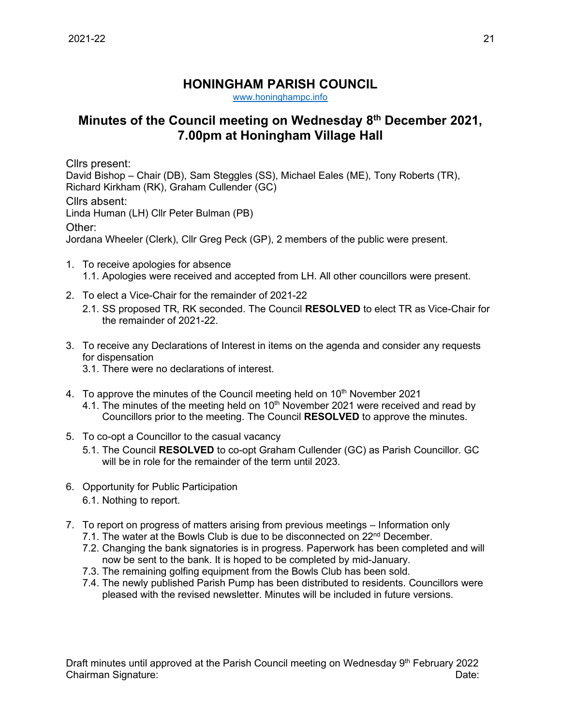## **HONINGHAM PARISH COUNCIL**

[www.honinghampc.info](http://www.honinghampc.info/)

## **Minutes of the Council meeting on Wednesday 8 th December 2021, 7.00pm at Honingham Village Hall**

Cllrs present: David Bishop – Chair (DB), Sam Steggles (SS), Michael Eales (ME), Tony Roberts (TR), Richard Kirkham (RK), Graham Cullender (GC) Cllrs absent: Linda Human (LH) Cllr Peter Bulman (PB) Other: Jordana Wheeler (Clerk), Cllr Greg Peck (GP), 2 members of the public were present.

- 1. To receive apologies for absence 1.1. Apologies were received and accepted from LH. All other councillors were present.
- 2. To elect a Vice-Chair for the remainder of 2021-22
	- 2.1. SS proposed TR, RK seconded. The Council **RESOLVED** to elect TR as Vice-Chair for the remainder of 2021-22.
- 3. To receive any Declarations of Interest in items on the agenda and consider any requests for dispensation
	- 3.1. There were no declarations of interest.
- 4. To approve the minutes of the Council meeting held on  $10<sup>th</sup>$  November 2021 4.1. The minutes of the meeting held on 10<sup>th</sup> November 2021 were received and read by Councillors prior to the meeting. The Council **RESOLVED** to approve the minutes.
- 5. To co-opt a Councillor to the casual vacancy
	- 5.1. The Council **RESOLVED** to co-opt Graham Cullender (GC) as Parish Councillor. GC will be in role for the remainder of the term until 2023.
- 6. Opportunity for Public Participation 6.1. Nothing to report.
- 7. To report on progress of matters arising from previous meetings Information only
	- 7.1. The water at the Bowls Club is due to be disconnected on  $22<sup>nd</sup>$  December.
	- 7.2. Changing the bank signatories is in progress. Paperwork has been completed and will now be sent to the bank. It is hoped to be completed by mid-January.
	- 7.3. The remaining golfing equipment from the Bowls Club has been sold.
	- 7.4. The newly published Parish Pump has been distributed to residents. Councillors were pleased with the revised newsletter. Minutes will be included in future versions.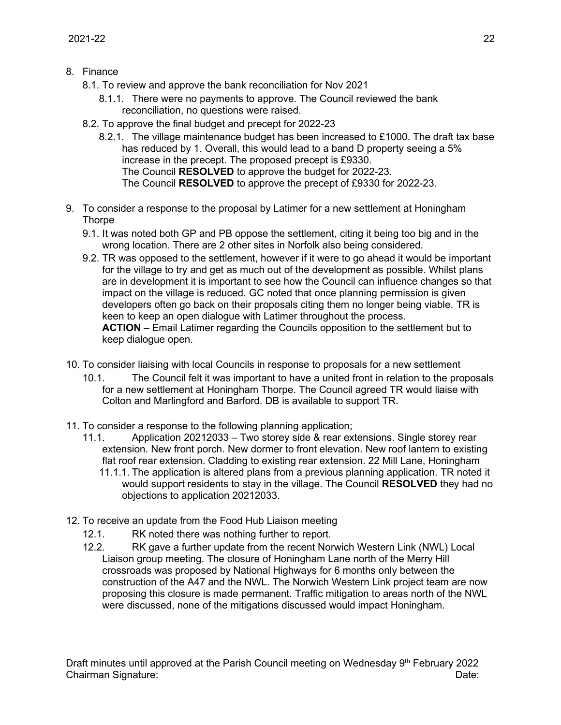- 8. Finance
	- 8.1. To review and approve the bank reconciliation for Nov 2021
		- 8.1.1. There were no payments to approve. The Council reviewed the bank reconciliation, no questions were raised.
	- 8.2. To approve the final budget and precept for 2022-23
		- 8.2.1. The village maintenance budget has been increased to £1000. The draft tax base has reduced by 1. Overall, this would lead to a band D property seeing a 5% increase in the precept. The proposed precept is £9330. The Council **RESOLVED** to approve the budget for 2022-23. The Council **RESOLVED** to approve the precept of £9330 for 2022-23.
- 9. To consider a response to the proposal by Latimer for a new settlement at Honingham **Thorpe** 
	- 9.1. It was noted both GP and PB oppose the settlement, citing it being too big and in the wrong location. There are 2 other sites in Norfolk also being considered.
	- 9.2. TR was opposed to the settlement, however if it were to go ahead it would be important for the village to try and get as much out of the development as possible. Whilst plans are in development it is important to see how the Council can influence changes so that impact on the village is reduced. GC noted that once planning permission is given developers often go back on their proposals citing them no longer being viable. TR is keen to keep an open dialogue with Latimer throughout the process. **ACTION** – Email Latimer regarding the Councils opposition to the settlement but to keep dialogue open.
- 10. To consider liaising with local Councils in response to proposals for a new settlement
	- 10.1. The Council felt it was important to have a united front in relation to the proposals for a new settlement at Honingham Thorpe. The Council agreed TR would liaise with Colton and Marlingford and Barford. DB is available to support TR.
- 11. To consider a response to the following planning application;
	- 11.1. Application 20212033 Two storey side & rear extensions. Single storey rear extension. New front porch. New dormer to front elevation. New roof lantern to existing flat roof rear extension. Cladding to existing rear extension. 22 Mill Lane, Honingham
		- 11.1.1. The application is altered plans from a previous planning application. TR noted it would support residents to stay in the village. The Council **RESOLVED** they had no objections to application 20212033.
- 12. To receive an update from the Food Hub Liaison meeting
	- 12.1. RK noted there was nothing further to report.
	- 12.2. RK gave a further update from the recent Norwich Western Link (NWL) Local Liaison group meeting. The closure of Honingham Lane north of the Merry Hill crossroads was proposed by National Highways for 6 months only between the construction of the A47 and the NWL. The Norwich Western Link project team are now proposing this closure is made permanent. Traffic mitigation to areas north of the NWL were discussed, none of the mitigations discussed would impact Honingham.